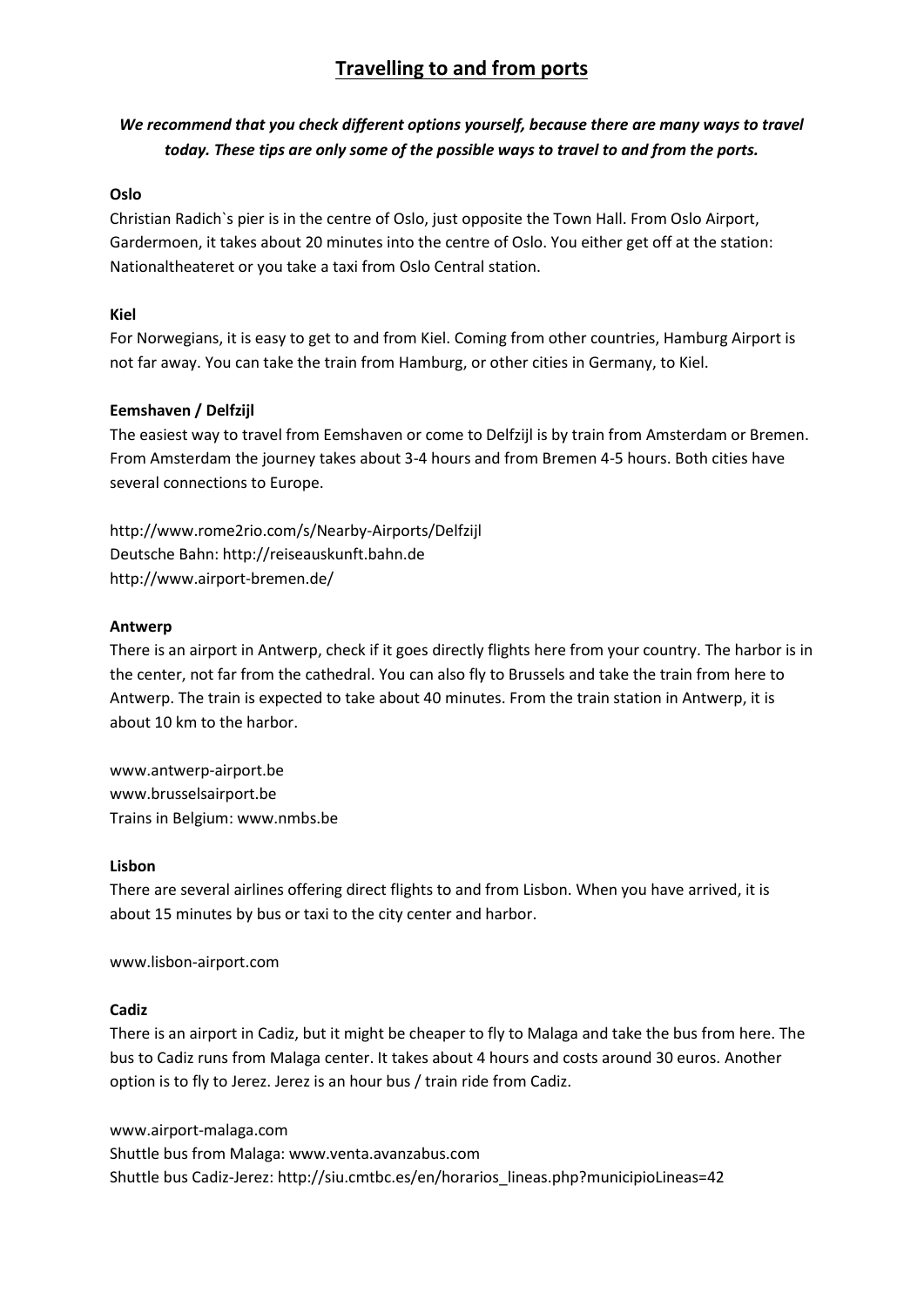# **Travelling to and from ports**

## *We recommend that you check different options yourself, because there are many ways to travel today. These tips are only some of the possible ways to travel to and from the ports.*

### **Oslo**

Christian Radich`s pier is in the centre of Oslo, just opposite the Town Hall. From Oslo Airport, Gardermoen, it takes about 20 minutes into the centre of Oslo. You either get off at the station: Nationaltheateret or you take a taxi from Oslo Central station.

### **Kiel**

For Norwegians, it is easy to get to and from Kiel. Coming from other countries, Hamburg Airport is not far away. You can take the train from Hamburg, or other cities in Germany, to Kiel.

### **Eemshaven / Delfzijl**

The easiest way to travel from Eemshaven or come to Delfzijl is by train from Amsterdam or Bremen. From Amsterdam the journey takes about 3-4 hours and from Bremen 4-5 hours. Both cities have several connections to Europe.

http://www.rome2rio.com/s/Nearby-Airports/Delfzijl Deutsche Bahn: http://reiseauskunft.bahn.de http://www.airport-bremen.de/

#### **Antwerp**

There is an airport in Antwerp, check if it goes directly flights here from your country. The harbor is in the center, not far from the cathedral. You can also fly to Brussels and take the train from here to Antwerp. The train is expected to take about 40 minutes. From the train station in Antwerp, it is about 10 km to the harbor.

www.antwerp-airport.be www.brusselsairport.be Trains in Belgium: www.nmbs.be

#### **Lisbon**

There are several airlines offering direct flights to and from Lisbon. When you have arrived, it is about 15 minutes by bus or taxi to the city center and harbor.

www.lisbon-airport.com

#### **Cadiz**

There is an airport in Cadiz, but it might be cheaper to fly to Malaga and take the bus from here. The bus to Cadiz runs from Malaga center. It takes about 4 hours and costs around 30 euros. Another option is to fly to Jerez. Jerez is an hour bus / train ride from Cadiz.

www.airport-malaga.com Shuttle bus from Malaga: www.venta.avanzabus.com Shuttle bus Cadiz-Jerez: http://siu.cmtbc.es/en/horarios\_lineas.php?municipioLineas=42